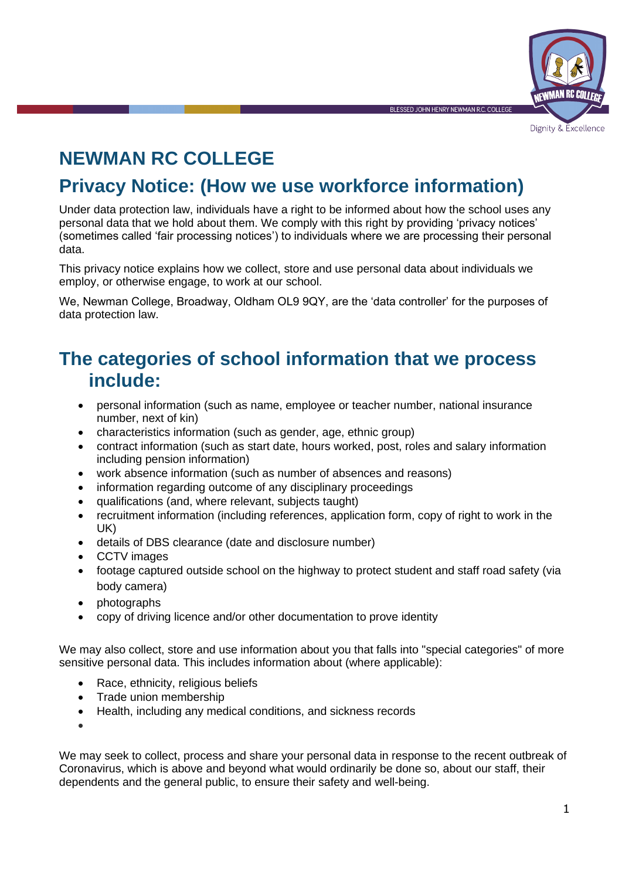

Dignity & Excellence

**BI ESSED JOHN HENRY NEWMAN R.C. COLLEG** 

# **NEWMAN RC COLLEGE**

## **Privacy Notice: (How we use workforce information)**

Under data protection law, individuals have a right to be informed about how the school uses any personal data that we hold about them. We comply with this right by providing 'privacy notices' (sometimes called 'fair processing notices') to individuals where we are processing their personal data.

This privacy notice explains how we collect, store and use personal data about individuals we employ, or otherwise engage, to work at our school.

We, Newman College, Broadway, Oldham OL9 9QY, are the 'data controller' for the purposes of data protection law.

## **The categories of school information that we process include:**

- personal information (such as name, employee or teacher number, national insurance number, next of kin)
- characteristics information (such as gender, age, ethnic group)
- contract information (such as start date, hours worked, post, roles and salary information including pension information)
- work absence information (such as number of absences and reasons)
- information regarding outcome of any disciplinary proceedings
- qualifications (and, where relevant, subjects taught)
- recruitment information (including references, application form, copy of right to work in the UK)
- details of DBS clearance (date and disclosure number)
- CCTV images
- footage captured outside school on the highway to protect student and staff road safety (via body camera)
- photographs
- copy of driving licence and/or other documentation to prove identity

We may also collect, store and use information about you that falls into "special categories" of more sensitive personal data. This includes information about (where applicable):

- Race, ethnicity, religious beliefs
- Trade union membership
- Health, including any medical conditions, and sickness records

•

We may seek to collect, process and share your personal data in response to the recent outbreak of Coronavirus, which is above and beyond what would ordinarily be done so, about our staff, their dependents and the general public, to ensure their safety and well-being.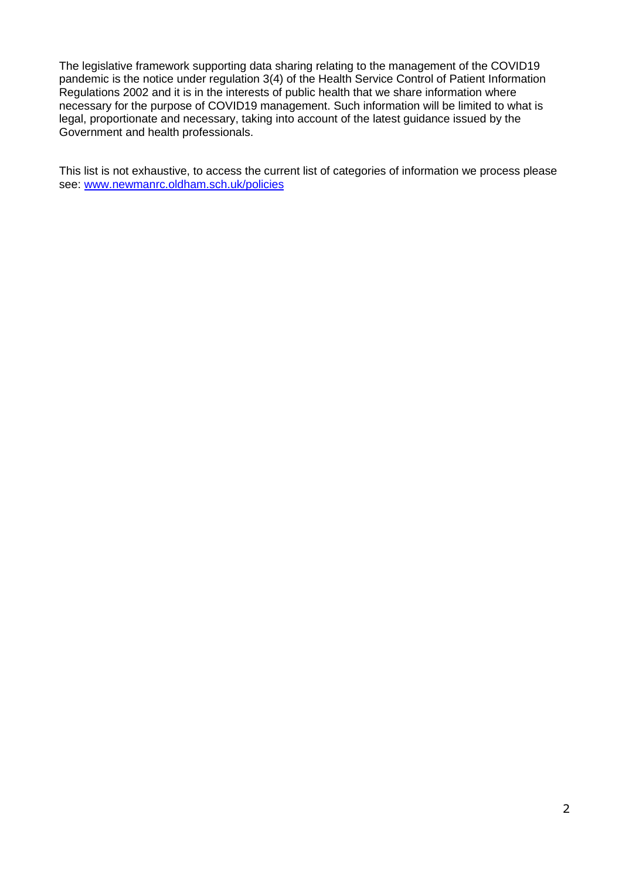The legislative framework supporting data sharing relating to the management of the COVID19 pandemic is the notice under regulation 3(4) of the Health Service Control of Patient Information Regulations 2002 and it is in the interests of public health that we share information where necessary for the purpose of COVID19 management. Such information will be limited to what is legal, proportionate and necessary, taking into account of the latest guidance issued by the Government and health professionals.

This list is not exhaustive, to access the current list of categories of information we process please see: [www.newmanrc.oldham.sch.uk/policies](http://www.newmanrc.oldham.sch.uk/policies)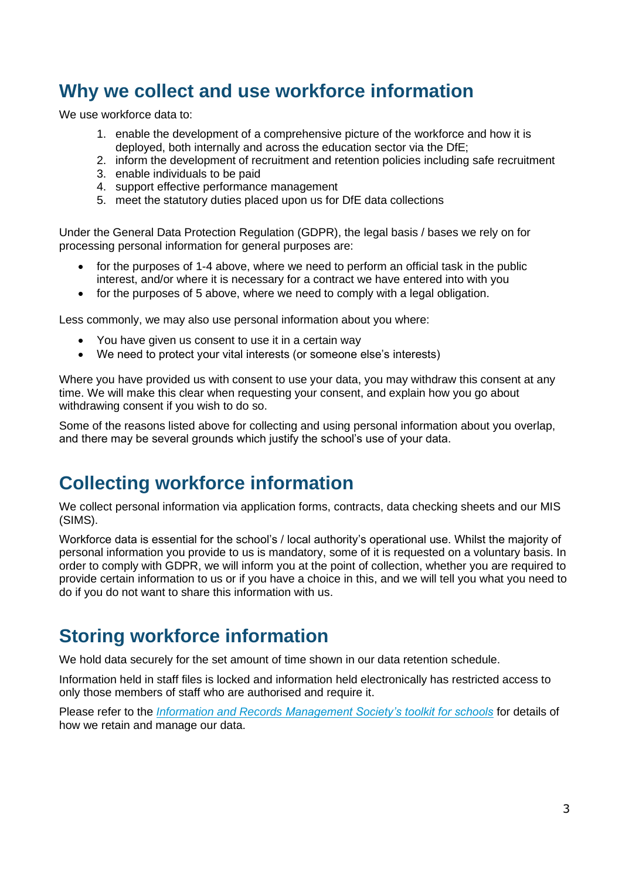## **Why we collect and use workforce information**

We use workforce data to:

- 1. enable the development of a comprehensive picture of the workforce and how it is deployed, both internally and across the education sector via the DfE;
- 2. inform the development of recruitment and retention policies including safe recruitment
- 3. enable individuals to be paid
- 4. support effective performance management
- 5. meet the statutory duties placed upon us for DfE data collections

Under the General Data Protection Regulation (GDPR), the legal basis / bases we rely on for processing personal information for general purposes are:

- for the purposes of 1-4 above, where we need to perform an official task in the public interest, and/or where it is necessary for a contract we have entered into with you
- for the purposes of 5 above, where we need to comply with a legal obligation.

Less commonly, we may also use personal information about you where:

- You have given us consent to use it in a certain way
- We need to protect your vital interests (or someone else's interests)

Where you have provided us with consent to use your data, you may withdraw this consent at any time. We will make this clear when requesting your consent, and explain how you go about withdrawing consent if you wish to do so.

Some of the reasons listed above for collecting and using personal information about you overlap, and there may be several grounds which justify the school's use of your data.

### **Collecting workforce information**

We collect personal information via application forms, contracts, data checking sheets and our MIS (SIMS).

Workforce data is essential for the school's / local authority's operational use. Whilst the majority of personal information you provide to us is mandatory, some of it is requested on a voluntary basis. In order to comply with GDPR, we will inform you at the point of collection, whether you are required to provide certain information to us or if you have a choice in this, and we will tell you what you need to do if you do not want to share this information with us.

## **Storing workforce information**

We hold data securely for the set amount of time shown in our data retention schedule.

Information held in staff files is locked and information held electronically has restricted access to only those members of staff who are authorised and require it.

Please refer to the *[Information and Records Management Society's toolkit for schools](http://irms.org.uk/?page=schoolstoolkit&terms=%22toolkit+and+schools%22)* for details of how we retain and manage our data.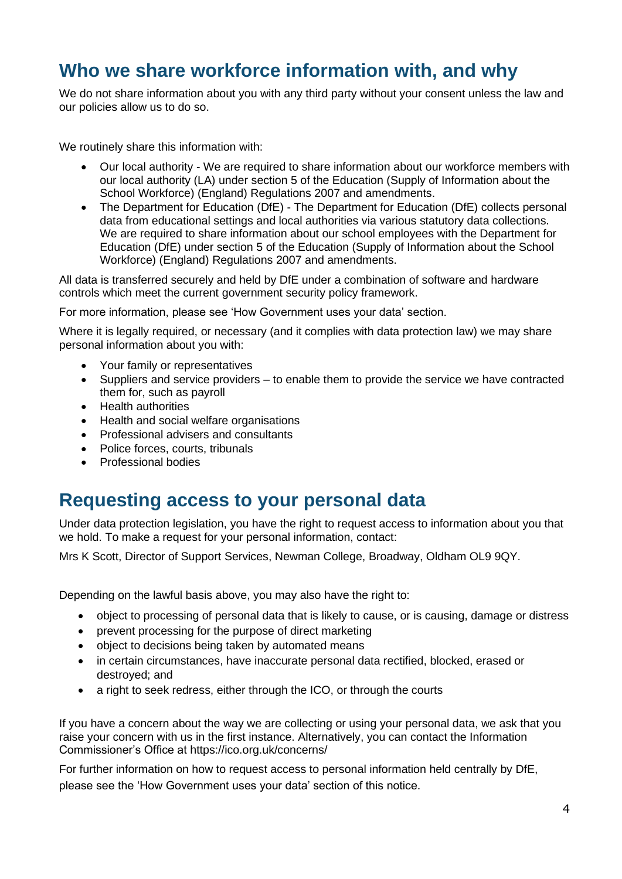## **Who we share workforce information with, and why**

We do not share information about you with any third party without your consent unless the law and our policies allow us to do so.

We routinely share this information with:

- Our local authority We are required to share information about our workforce members with our local authority (LA) under section 5 of the Education (Supply of Information about the School Workforce) (England) Regulations 2007 and amendments.
- The Department for Education (DfE) The Department for Education (DfE) collects personal data from educational settings and local authorities via various statutory data collections. We are required to share information about our school employees with the Department for Education (DfE) under section 5 of the Education (Supply of Information about the School Workforce) (England) Regulations 2007 and amendments.

All data is transferred securely and held by DfE under a combination of software and hardware controls which meet the current [government security policy framework.](https://www.gov.uk/government/publications/security-policy-framework)

For more information, please see 'How Government uses your data' section.

Where it is legally required, or necessary (and it complies with data protection law) we may share personal information about you with:

- Your family or representatives
- Suppliers and service providers to enable them to provide the service we have contracted them for, such as payroll
- Health authorities
- Health and social welfare organisations
- Professional advisers and consultants
- Police forces, courts, tribunals
- Professional bodies

### **Requesting access to your personal data**

Under data protection legislation, you have the right to request access to information about you that we hold. To make a request for your personal information, contact:

Mrs K Scott, Director of Support Services, Newman College, Broadway, Oldham OL9 9QY.

Depending on the lawful basis above, you may also have the right to:

- object to processing of personal data that is likely to cause, or is causing, damage or distress
- prevent processing for the purpose of direct marketing
- object to decisions being taken by automated means
- in certain circumstances, have inaccurate personal data rectified, blocked, erased or destroyed; and
- a right to seek redress, either through the ICO, or through the courts

If you have a concern about the way we are collecting or using your personal data, we ask that you raise your concern with us in the first instance. Alternatively, you can contact the Information Commissioner's Office at<https://ico.org.uk/concerns/>

For further information on how to request access to personal information held centrally by DfE, please see the 'How Government uses your data' section of this notice.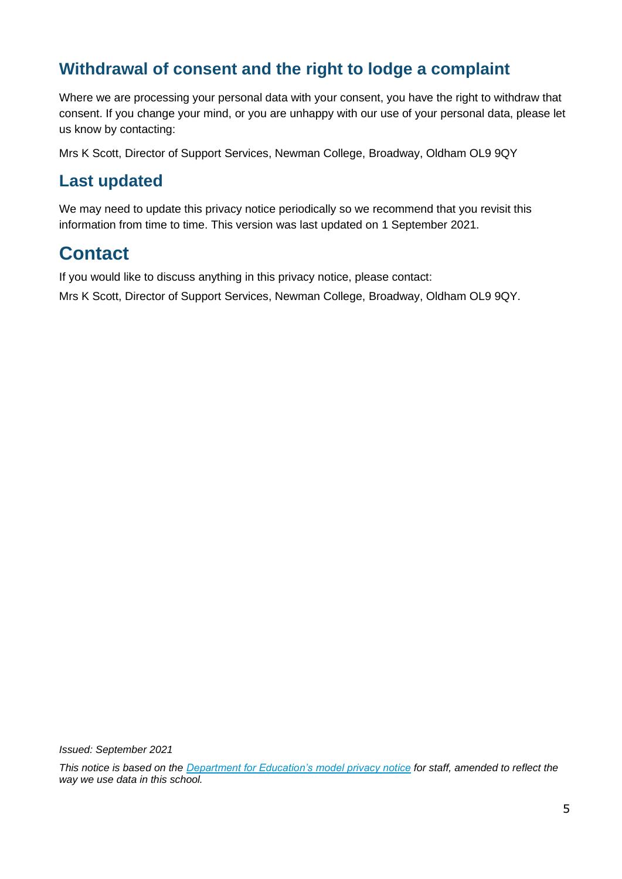### **Withdrawal of consent and the right to lodge a complaint**

Where we are processing your personal data with your consent, you have the right to withdraw that consent. If you change your mind, or you are unhappy with our use of your personal data, please let us know by contacting:

Mrs K Scott, Director of Support Services, Newman College, Broadway, Oldham OL9 9QY

#### **Last updated**

We may need to update this privacy notice periodically so we recommend that you revisit this information from time to time. This version was last updated on 1 September 2021.

## **Contact**

If you would like to discuss anything in this privacy notice, please contact:

Mrs K Scott, Director of Support Services, Newman College, Broadway, Oldham OL9 9QY.

*Issued: September 2021*

*This notice is based on the [Department for Education's model privacy notice](https://www.gov.uk/government/publications/data-protection-and-privacy-privacy-notices) for staff, amended to reflect the way we use data in this school.*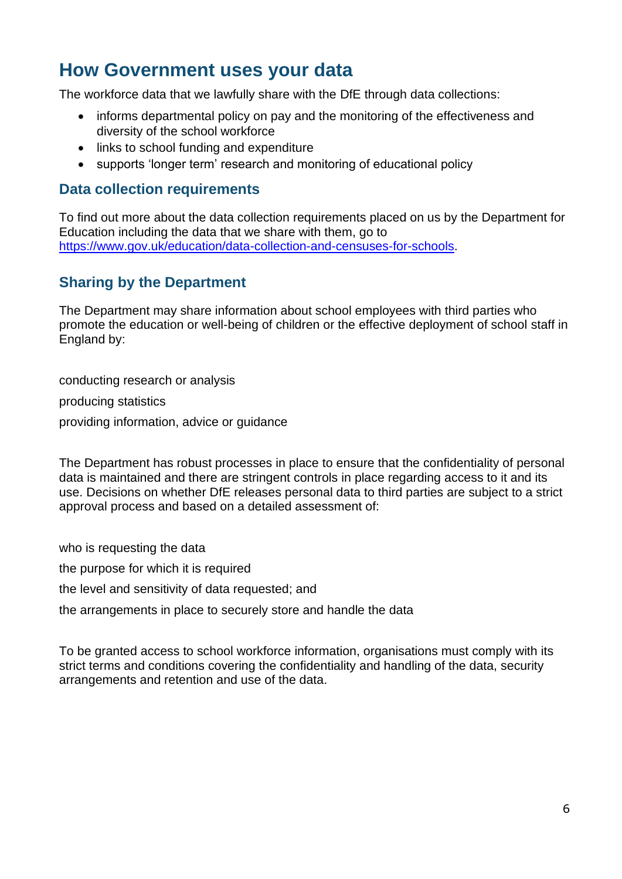## **How Government uses your data**

The workforce data that we lawfully share with the DfE through data collections:

- informs departmental policy on pay and the monitoring of the effectiveness and diversity of the school workforce
- links to school funding and expenditure
- supports 'longer term' research and monitoring of educational policy

#### **Data collection requirements**

To find out more about the data collection requirements placed on us by the Department for Education including the data that we share with them, go to [https://www.gov.uk/education/data-collection-and-censuses-for-schools.](https://www.gov.uk/education/data-collection-and-censuses-for-schools)

#### **Sharing by the Department**

The Department may share information about school employees with third parties who promote the education or well-being of children or the effective deployment of school staff in England by:

conducting research or analysis producing statistics providing information, advice or guidance

The Department has robust processes in place to ensure that the confidentiality of personal data is maintained and there are stringent controls in place regarding access to it and its use. Decisions on whether DfE releases personal data to third parties are subject to a strict approval process and based on a detailed assessment of:

who is requesting the data

the purpose for which it is required

the level and sensitivity of data requested; and

the arrangements in place to securely store and handle the data

To be granted access to school workforce information, organisations must comply with its strict terms and conditions covering the confidentiality and handling of the data, security arrangements and retention and use of the data.